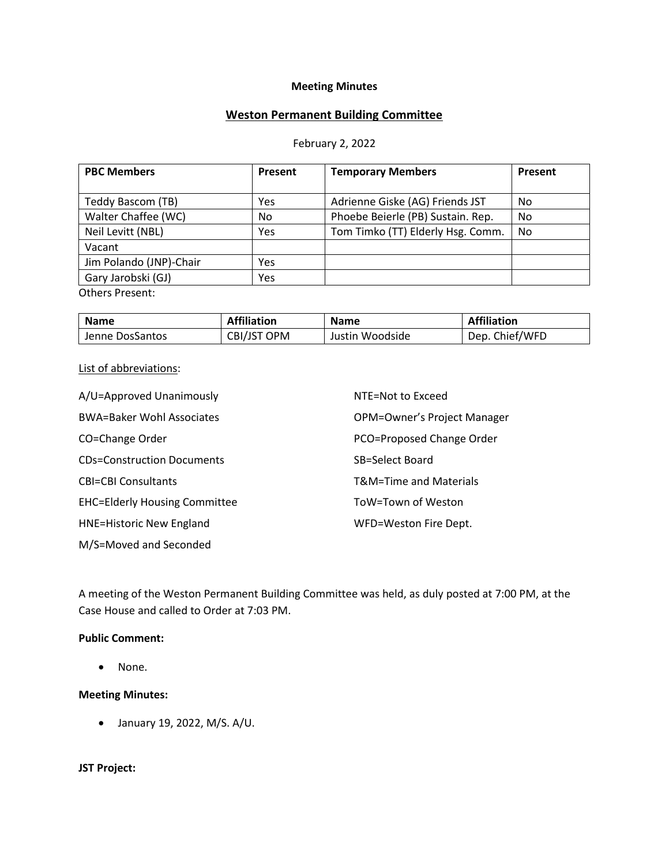# **Meeting Minutes**

## **Weston Permanent Building Committee**

#### February 2, 2022

| <b>PBC Members</b>      | Present | <b>Temporary Members</b>          | Present |
|-------------------------|---------|-----------------------------------|---------|
|                         |         |                                   |         |
| Teddy Bascom (TB)       | Yes     | Adrienne Giske (AG) Friends JST   | No      |
| Walter Chaffee (WC)     | No.     | Phoebe Beierle (PB) Sustain. Rep. | No      |
| Neil Levitt (NBL)       | Yes     | Tom Timko (TT) Elderly Hsg. Comm. | No      |
| Vacant                  |         |                                   |         |
| Jim Polando (JNP)-Chair | Yes     |                                   |         |
| Gary Jarobski (GJ)      | Yes     |                                   |         |
| $O+$ hors Droconti      |         |                                   |         |

Others Present:

| <b>Name</b>     | <b>Affiliation</b> | <b>Name</b>     | <b>Affiliation</b> |
|-----------------|--------------------|-----------------|--------------------|
| Jenne DosSantos | CBI/JST OPM        | Justin Woodside | Dep. Chief/WFD     |

#### List of abbreviations:

| A/U=Approved Unanimously             | NTE=Not to Exceed           |
|--------------------------------------|-----------------------------|
| <b>BWA=Baker Wohl Associates</b>     | OPM=Owner's Project Manager |
| CO=Change Order                      | PCO=Proposed Change Order   |
| <b>CDs=Construction Documents</b>    | SB=Select Board             |
| <b>CBI=CBI Consultants</b>           | T&M=Time and Materials      |
| <b>EHC=Elderly Housing Committee</b> | ToW=Town of Weston          |
| <b>HNE=Historic New England</b>      | WFD=Weston Fire Dept.       |
| M/S=Moved and Seconded               |                             |

A meeting of the Weston Permanent Building Committee was held, as duly posted at 7:00 PM, at the Case House and called to Order at 7:03 PM.

#### **Public Comment:**

• None.

#### **Meeting Minutes:**

• January 19, 2022, M/S. A/U.

#### **JST Project:**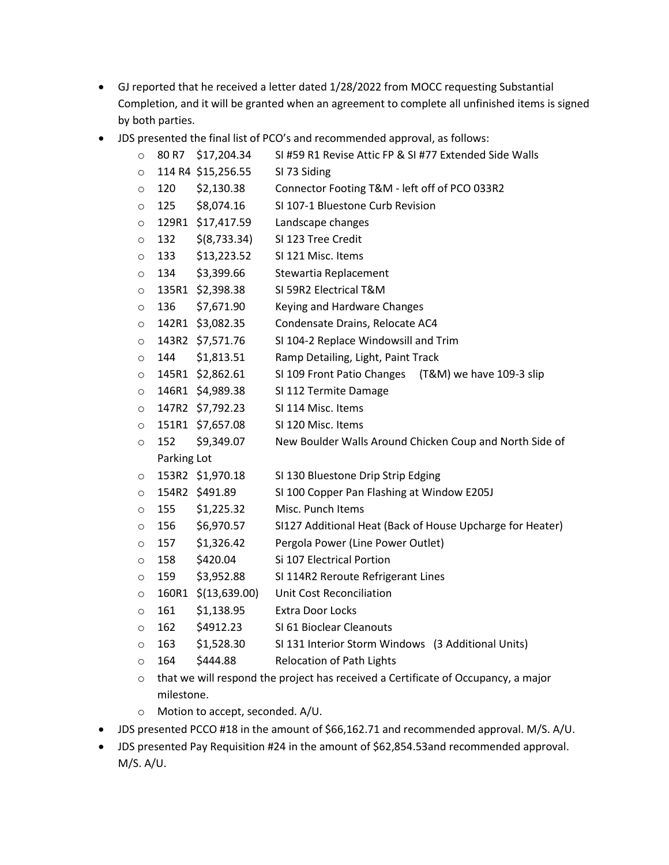- GJ reported that he received a letter dated 1/28/2022 from MOCC requesting Substantial Completion, and it will be granted when an agreement to complete all unfinished items is signed by both parties.
- JDS presented the final list of PCO's and recommended approval, as follows:

| $\circ$ | 80 R7                                                                              | \$17,204.34         | SI #59 R1 Revise Attic FP & SI #77 Extended Side Walls    |  |  |
|---------|------------------------------------------------------------------------------------|---------------------|-----------------------------------------------------------|--|--|
| O       |                                                                                    | 114 R4 \$15,256.55  | SI 73 Siding                                              |  |  |
| O       | 120                                                                                | \$2,130.38          | Connector Footing T&M - left off of PCO 033R2             |  |  |
| $\circ$ | 125                                                                                | \$8,074.16          | SI 107-1 Bluestone Curb Revision                          |  |  |
| O       |                                                                                    | 129R1 \$17,417.59   | Landscape changes                                         |  |  |
| O       | 132                                                                                | \$(8,733.34)        | SI 123 Tree Credit                                        |  |  |
| O       | 133                                                                                | \$13,223.52         | SI 121 Misc. Items                                        |  |  |
| O       | 134                                                                                | \$3,399.66          | Stewartia Replacement                                     |  |  |
| $\circ$ |                                                                                    | 135R1 \$2,398.38    | SI 59R2 Electrical T&M                                    |  |  |
| O       | 136                                                                                | \$7,671.90          | Keying and Hardware Changes                               |  |  |
| O       |                                                                                    | 142R1 \$3,082.35    | Condensate Drains, Relocate AC4                           |  |  |
| $\circ$ |                                                                                    | 143R2 \$7,571.76    | SI 104-2 Replace Windowsill and Trim                      |  |  |
| $\circ$ | 144                                                                                | \$1,813.51          | Ramp Detailing, Light, Paint Track                        |  |  |
| O       |                                                                                    | 145R1 \$2,862.61    | SI 109 Front Patio Changes (T&M) we have 109-3 slip       |  |  |
| O       |                                                                                    | 146R1 \$4,989.38    | SI 112 Termite Damage                                     |  |  |
| $\circ$ |                                                                                    | 147R2 \$7,792.23    | SI 114 Misc. Items                                        |  |  |
| O       |                                                                                    | 151R1 \$7,657.08    | SI 120 Misc. Items                                        |  |  |
| $\circ$ | 152                                                                                | \$9,349.07          | New Boulder Walls Around Chicken Coup and North Side of   |  |  |
|         | Parking Lot                                                                        |                     |                                                           |  |  |
| $\circ$ |                                                                                    | 153R2 \$1,970.18    | SI 130 Bluestone Drip Strip Edging                        |  |  |
| $\circ$ |                                                                                    | 154R2 \$491.89      | SI 100 Copper Pan Flashing at Window E205J                |  |  |
| O       | 155                                                                                | \$1,225.32          | Misc. Punch Items                                         |  |  |
| O       | 156                                                                                | \$6,970.57          | SI127 Additional Heat (Back of House Upcharge for Heater) |  |  |
| O       | 157                                                                                | \$1,326.42          | Pergola Power (Line Power Outlet)                         |  |  |
| O       | 158                                                                                | \$420.04            | Si 107 Electrical Portion                                 |  |  |
| $\circ$ | 159                                                                                | \$3,952.88          | SI 114R2 Reroute Refrigerant Lines                        |  |  |
| O       |                                                                                    | 160R1 \$(13,639.00) | <b>Unit Cost Reconciliation</b>                           |  |  |
| O       | 161                                                                                | \$1,138.95          | <b>Extra Door Locks</b>                                   |  |  |
| $\circ$ | 162                                                                                | \$4912.23           | SI 61 Bioclear Cleanouts                                  |  |  |
| O       | 163                                                                                | \$1,528.30          | SI 131 Interior Storm Windows (3 Additional Units)        |  |  |
| $\circ$ | 164                                                                                | \$444.88            | <b>Relocation of Path Lights</b>                          |  |  |
| $\sim$  | that we will reconnect the project has resolved a Certificate of Ossupancy a major |                     |                                                           |  |  |

- $\circ$  that we will respond the project has received a Certificate of Occupancy, a major milestone.
- o Motion to accept, seconded. A/U.
- JDS presented PCCO #18 in the amount of \$66,162.71 and recommended approval. M/S. A/U.
- JDS presented Pay Requisition #24 in the amount of \$62,854.53and recommended approval. M/S. A/U.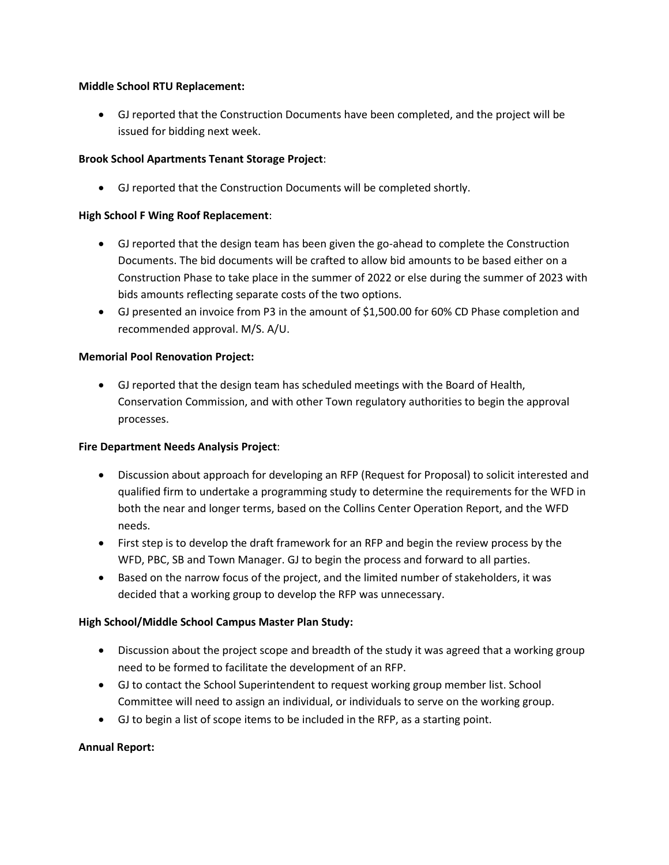#### **Middle School RTU Replacement:**

• GJ reported that the Construction Documents have been completed, and the project will be issued for bidding next week.

# **Brook School Apartments Tenant Storage Project**:

• GJ reported that the Construction Documents will be completed shortly.

## **High School F Wing Roof Replacement**:

- GJ reported that the design team has been given the go-ahead to complete the Construction Documents. The bid documents will be crafted to allow bid amounts to be based either on a Construction Phase to take place in the summer of 2022 or else during the summer of 2023 with bids amounts reflecting separate costs of the two options.
- GJ presented an invoice from P3 in the amount of \$1,500.00 for 60% CD Phase completion and recommended approval. M/S. A/U.

## **Memorial Pool Renovation Project:**

• GJ reported that the design team has scheduled meetings with the Board of Health, Conservation Commission, and with other Town regulatory authorities to begin the approval processes.

#### **Fire Department Needs Analysis Project**:

- Discussion about approach for developing an RFP (Request for Proposal) to solicit interested and qualified firm to undertake a programming study to determine the requirements for the WFD in both the near and longer terms, based on the Collins Center Operation Report, and the WFD needs.
- First step is to develop the draft framework for an RFP and begin the review process by the WFD, PBC, SB and Town Manager. GJ to begin the process and forward to all parties.
- Based on the narrow focus of the project, and the limited number of stakeholders, it was decided that a working group to develop the RFP was unnecessary.

# **High School/Middle School Campus Master Plan Study:**

- Discussion about the project scope and breadth of the study it was agreed that a working group need to be formed to facilitate the development of an RFP.
- GJ to contact the School Superintendent to request working group member list. School Committee will need to assign an individual, or individuals to serve on the working group.
- GJ to begin a list of scope items to be included in the RFP, as a starting point.

# **Annual Report:**